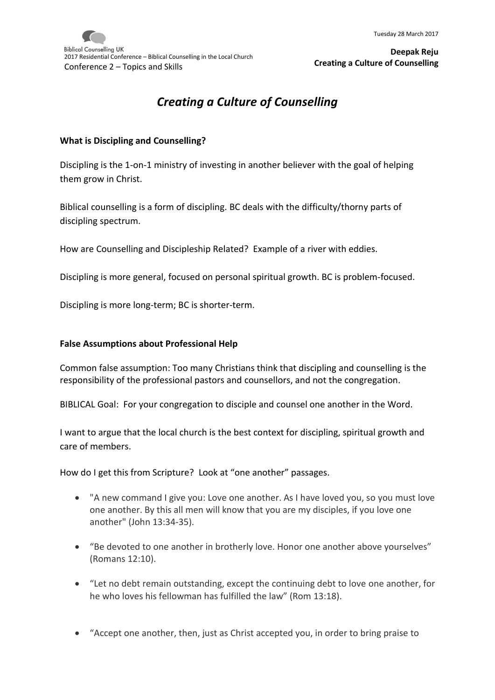

# *Creating a Culture of Counselling*

#### **What is Discipling and Counselling?**

Discipling is the 1-on-1 ministry of investing in another believer with the goal of helping them grow in Christ.

Biblical counselling is a form of discipling. BC deals with the difficulty/thorny parts of discipling spectrum.

How are Counselling and Discipleship Related? Example of a river with eddies.

Discipling is more general, focused on personal spiritual growth. BC is problem-focused.

Discipling is more long-term; BC is shorter-term.

#### **False Assumptions about Professional Help**

Common false assumption: Too many Christians think that discipling and counselling is the responsibility of the professional pastors and counsellors, and not the congregation.

BIBLICAL Goal: For your congregation to disciple and counsel one another in the Word.

I want to argue that the local church is the best context for discipling, spiritual growth and care of members.

How do I get this from Scripture? Look at "one another" passages.

- "A new command I give you: Love one another. As I have loved you, so you must love one another. By this all men will know that you are my disciples, if you love one another" (John 13:34-35).
- "Be devoted to one another in brotherly love. Honor one another above yourselves" (Romans 12:10).
- "Let no debt remain outstanding, except the continuing debt to love one another, for he who loves his fellowman has fulfilled the law" (Rom 13:18).
- "Accept one another, then, just as Christ accepted you, in order to bring praise to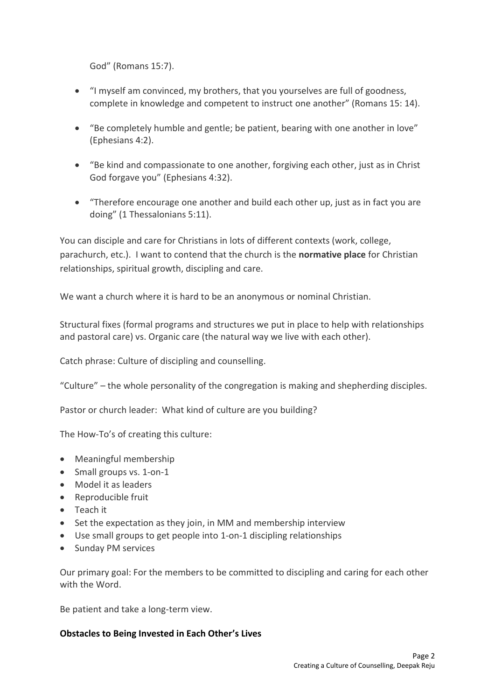God" (Romans 15:7).

- "I myself am convinced, my brothers, that you yourselves are full of goodness, complete in knowledge and competent to instruct one another" (Romans 15: 14).
- "Be completely humble and gentle; be patient, bearing with one another in love" (Ephesians 4:2).
- "Be kind and compassionate to one another, forgiving each other, just as in Christ God forgave you" (Ephesians 4:32).
- "Therefore encourage one another and build each other up, just as in fact you are doing" (1 Thessalonians 5:11).

You can disciple and care for Christians in lots of different contexts (work, college, parachurch, etc.). I want to contend that the church is the **normative place** for Christian relationships, spiritual growth, discipling and care.

We want a church where it is hard to be an anonymous or nominal Christian.

Structural fixes (formal programs and structures we put in place to help with relationships and pastoral care) vs. Organic care (the natural way we live with each other).

Catch phrase: Culture of discipling and counselling.

"Culture" – the whole personality of the congregation is making and shepherding disciples.

Pastor or church leader: What kind of culture are you building?

The How-To's of creating this culture:

- Meaningful membership
- Small groups vs. 1-on-1
- Model it as leaders
- Reproducible fruit
- Teach it
- Set the expectation as they join, in MM and membership interview
- Use small groups to get people into 1-on-1 discipling relationships
- Sunday PM services

Our primary goal: For the members to be committed to discipling and caring for each other with the Word.

Be patient and take a long-term view.

#### **Obstacles to Being Invested in Each Other's Lives**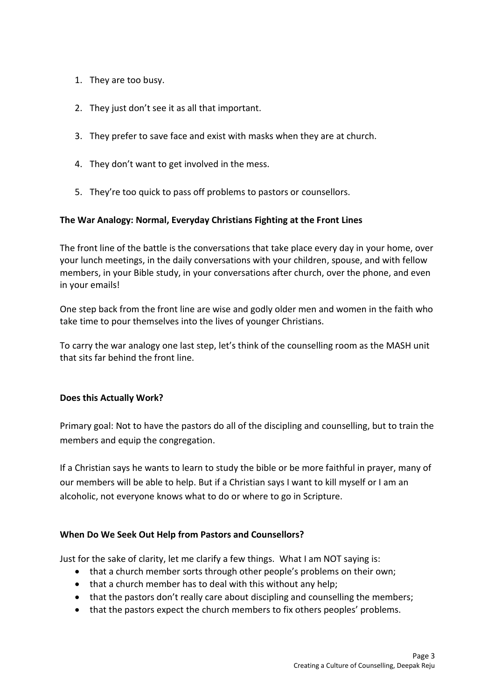- 1. They are too busy.
- 2. They just don't see it as all that important.
- 3. They prefer to save face and exist with masks when they are at church.
- 4. They don't want to get involved in the mess.
- 5. They're too quick to pass off problems to pastors or counsellors.

## **The War Analogy: Normal, Everyday Christians Fighting at the Front Lines**

The front line of the battle is the conversations that take place every day in your home, over your lunch meetings, in the daily conversations with your children, spouse, and with fellow members, in your Bible study, in your conversations after church, over the phone, and even in your emails!

One step back from the front line are wise and godly older men and women in the faith who take time to pour themselves into the lives of younger Christians.

To carry the war analogy one last step, let's think of the counselling room as the MASH unit that sits far behind the front line.

## **Does this Actually Work?**

Primary goal: Not to have the pastors do all of the discipling and counselling, but to train the members and equip the congregation.

If a Christian says he wants to learn to study the bible or be more faithful in prayer, many of our members will be able to help. But if a Christian says I want to kill myself or I am an alcoholic, not everyone knows what to do or where to go in Scripture.

## **When Do We Seek Out Help from Pastors and Counsellors?**

Just for the sake of clarity, let me clarify a few things. What I am NOT saying is:

- that a church member sorts through other people's problems on their own;
- that a church member has to deal with this without any help;
- that the pastors don't really care about discipling and counselling the members;
- that the pastors expect the church members to fix others peoples' problems.